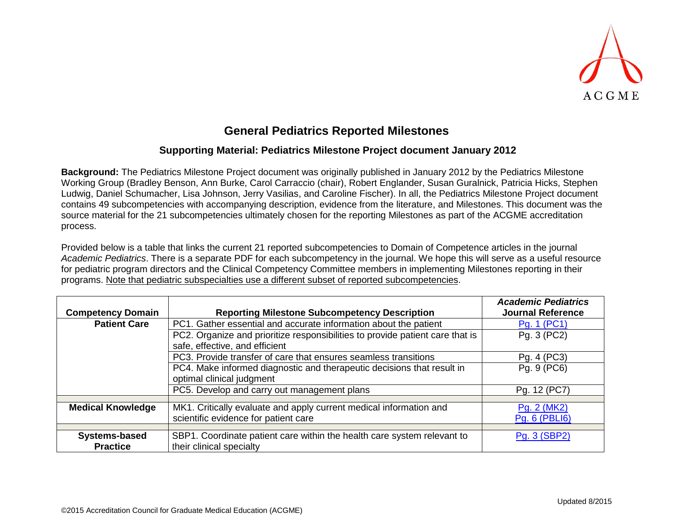

## **General Pediatrics Reported Milestones**

## **Supporting Material: Pediatrics Milestone Project document January 2012**

**Background:** The Pediatrics Milestone Project document was originally published in January 2012 by the Pediatrics Milestone Working Group (Bradley Benson, Ann Burke, Carol Carraccio (chair), Robert Englander, Susan Guralnick, Patricia Hicks, Stephen Ludwig, Daniel Schumacher, Lisa Johnson, Jerry Vasilias, and Caroline Fischer). In all, the Pediatrics Milestone Project document contains 49 subcompetencies with accompanying description, evidence from the literature, and Milestones. This document was the source material for the 21 subcompetencies ultimately chosen for the reporting Milestones as part of the ACGME accreditation process.

Provided below is a table that links the current 21 reported subcompetencies to Domain of Competence articles in the journal *Academic Pediatrics*. There is a separate PDF for each subcompetency in the journal. We hope this will serve as a useful resource for pediatric program directors and the Clinical Competency Committee members in implementing Milestones reporting in their programs. Note that pediatric subspecialties use a different subset of reported subcompetencies.

|                          |                                                                                                                 | <b>Academic Pediatrics</b> |
|--------------------------|-----------------------------------------------------------------------------------------------------------------|----------------------------|
| <b>Competency Domain</b> | <b>Reporting Milestone Subcompetency Description</b>                                                            | <b>Journal Reference</b>   |
| <b>Patient Care</b>      | PC1. Gather essential and accurate information about the patient                                                | Pg. 1 (PC1)                |
|                          | PC2. Organize and prioritize responsibilities to provide patient care that is<br>safe, effective, and efficient | Pg. 3 (PC2)                |
|                          | PC3. Provide transfer of care that ensures seamless transitions                                                 | Pg. 4 (PC3)                |
|                          | PC4. Make informed diagnostic and therapeutic decisions that result in<br>optimal clinical judgment             | Pg. 9 (PC6)                |
|                          | PC5. Develop and carry out management plans                                                                     | Pg. 12 (PC7)               |
|                          |                                                                                                                 |                            |
| <b>Medical Knowledge</b> | MK1. Critically evaluate and apply current medical information and                                              | Pg. 2 (MK2)                |
|                          | scientific evidence for patient care                                                                            | <b>Pg. 6 (PBLI6)</b>       |
|                          |                                                                                                                 |                            |
| <b>Systems-based</b>     | SBP1. Coordinate patient care within the health care system relevant to                                         | Pg. 3 (SBP2)               |
| <b>Practice</b>          | their clinical specialty                                                                                        |                            |